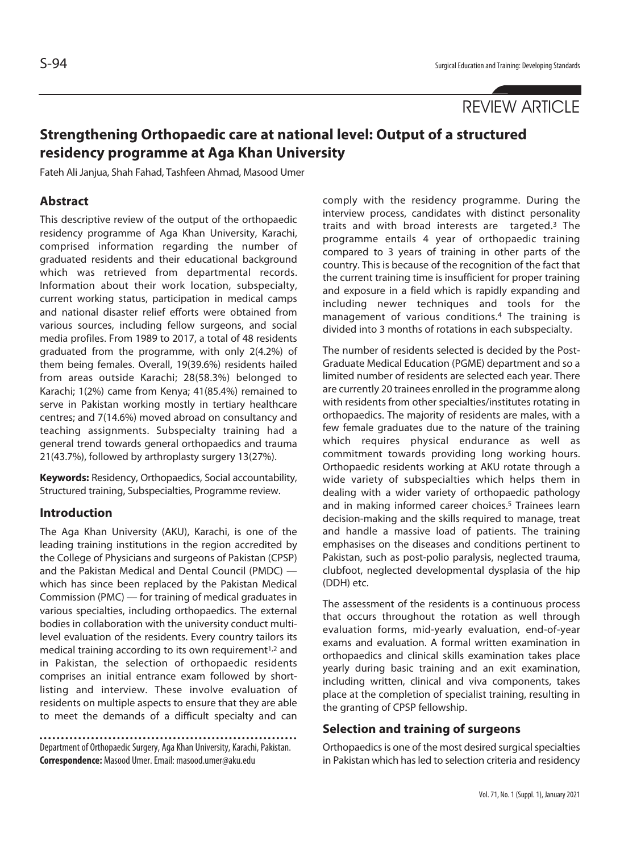# REVIEW ARTICLE

# **Strengthening Orthopaedic care at national level: Output of a structured residency programme at Aga Khan University**

Fateh Ali Janjua, Shah Fahad, Tashfeen Ahmad, Masood Umer

#### **Abstract**

This descriptive review of the output of the orthopaedic residency programme of Aga Khan University, Karachi, comprised information regarding the number of graduated residents and their educational background which was retrieved from departmental records. Information about their work location, subspecialty, current working status, participation in medical camps and national disaster relief efforts were obtained from various sources, including fellow surgeons, and social media profiles. From 1989 to 2017, a total of 48 residents graduated from the programme, with only 2(4.2%) of them being females. Overall, 19(39.6%) residents hailed from areas outside Karachi; 28(58.3%) belonged to Karachi; 1(2%) came from Kenya; 41(85.4%) remained to serve in Pakistan working mostly in tertiary healthcare centres; and 7(14.6%) moved abroad on consultancy and teaching assignments. Subspecialty training had a general trend towards general orthopaedics and trauma 21(43.7%), followed by arthroplasty surgery 13(27%).

**Keywords:** Residency, Orthopaedics, Social accountability, Structured training, Subspecialties, Programme review.

#### **Introduction**

The Aga Khan University (AKU), Karachi, is one of the leading training institutions in the region accredited by the College of Physicians and surgeons of Pakistan (CPSP) and the Pakistan Medical and Dental Council (PMDC) which has since been replaced by the Pakistan Medical Commission (PMC) — for training of medical graduates in various specialties, including orthopaedics. The external bodies in collaboration with the university conduct multilevel evaluation of the residents. Every country tailors its medical training according to its own requirement<sup>1,2</sup> and in Pakistan, the selection of orthopaedic residents comprises an initial entrance exam followed by shortlisting and interview. These involve evaluation of residents on multiple aspects to ensure that they are able to meet the demands of a difficult specialty and can

Department of Orthopaedic Surgery, Aga Khan University, Karachi, Pakistan. **Correspondence:** Masood Umer. Email: masood.umer@aku.edu

comply with the residency programme. During the interview process, candidates with distinct personality traits and with broad interests are targeted.3 The programme entails 4 year of orthopaedic training compared to 3 years of training in other parts of the country. This is because of the recognition of the fact that the current training time is insufficient for proper training and exposure in a field which is rapidly expanding and including newer techniques and tools for the management of various conditions.4 The training is divided into 3 months of rotations in each subspecialty.

The number of residents selected is decided by the Post-Graduate Medical Education (PGME) department and so a limited number of residents are selected each year. There are currently 20 trainees enrolled in the programme along with residents from other specialties/institutes rotating in orthopaedics. The majority of residents are males, with a few female graduates due to the nature of the training which requires physical endurance as well as commitment towards providing long working hours. Orthopaedic residents working at AKU rotate through a wide variety of subspecialties which helps them in dealing with a wider variety of orthopaedic pathology and in making informed career choices.<sup>5</sup> Trainees learn decision-making and the skills required to manage, treat and handle a massive load of patients. The training emphasises on the diseases and conditions pertinent to Pakistan, such as post-polio paralysis, neglected trauma, clubfoot, neglected developmental dysplasia of the hip (DDH) etc.

The assessment of the residents is a continuous process that occurs throughout the rotation as well through evaluation forms, mid-yearly evaluation, end-of-year exams and evaluation. A formal written examination in orthopaedics and clinical skills examination takes place yearly during basic training and an exit examination, including written, clinical and viva components, takes place at the completion of specialist training, resulting in the granting of CPSP fellowship.

#### **Selection and training of surgeons**

Orthopaedics is one of the most desired surgical specialties in Pakistan which has led to selection criteria and residency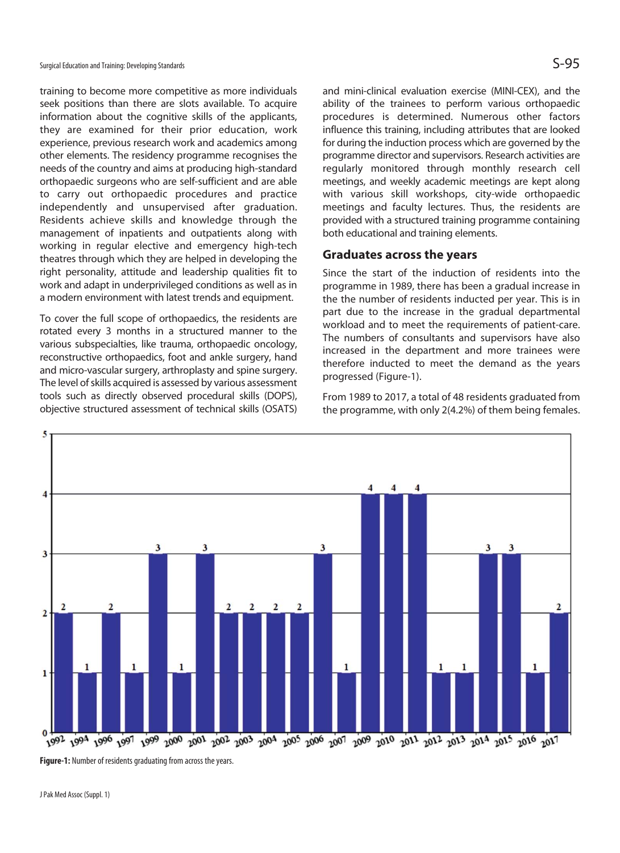training to become more competitive as more individuals seek positions than there are slots available. To acquire information about the cognitive skills of the applicants, they are examined for their prior education, work experience, previous research work and academics among other elements. The residency programme recognises the needs of the country and aims at producing high-standard orthopaedic surgeons who are self-sufficient and are able to carry out orthopaedic procedures and practice independently and unsupervised after graduation. Residents achieve skills and knowledge through the management of inpatients and outpatients along with working in regular elective and emergency high-tech theatres through which they are helped in developing the right personality, attitude and leadership qualities fit to work and adapt in underprivileged conditions as well as in a modern environment with latest trends and equipment.

To cover the full scope of orthopaedics, the residents are rotated every 3 months in a structured manner to the various subspecialties, like trauma, orthopaedic oncology, reconstructive orthopaedics, foot and ankle surgery, hand and micro-vascular surgery, arthroplasty and spine surgery. The level of skills acquired is assessed by various assessment tools such as directly observed procedural skills (DOPS), objective structured assessment of technical skills (OSATS)

and mini-clinical evaluation exercise (MINI-CEX), and the ability of the trainees to perform various orthopaedic procedures is determined. Numerous other factors influence this training, including attributes that are looked for during the induction process which are governed by the programme director and supervisors. Research activities are regularly monitored through monthly research cell meetings, and weekly academic meetings are kept along with various skill workshops, city-wide orthopaedic meetings and faculty lectures. Thus, the residents are provided with a structured training programme containing both educational and training elements.

#### **Graduates across the years**

Since the start of the induction of residents into the programme in 1989, there has been a gradual increase in the the number of residents inducted per year. This is in part due to the increase in the gradual departmental workload and to meet the requirements of patient-care. The numbers of consultants and supervisors have also increased in the department and more trainees were therefore inducted to meet the demand as the years progressed (Figure-1).



From 1989 to 2017, a total of 48 residents graduated from the programme, with only 2(4.2%) of them being females.

**Figure-1:** Number of residents graduating from across the years.

J Pak Med Assoc (Suppl. 1)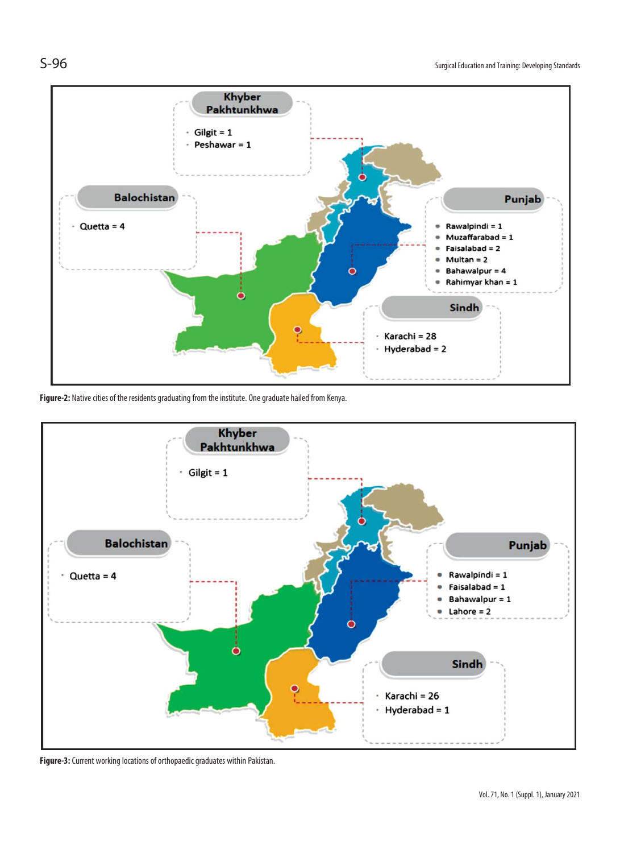

**Figure-2:** Native cities of the residents graduating from the institute. One graduate hailed from Kenya.



**Figure-3:** Current working locations of orthopaedic graduates within Pakistan.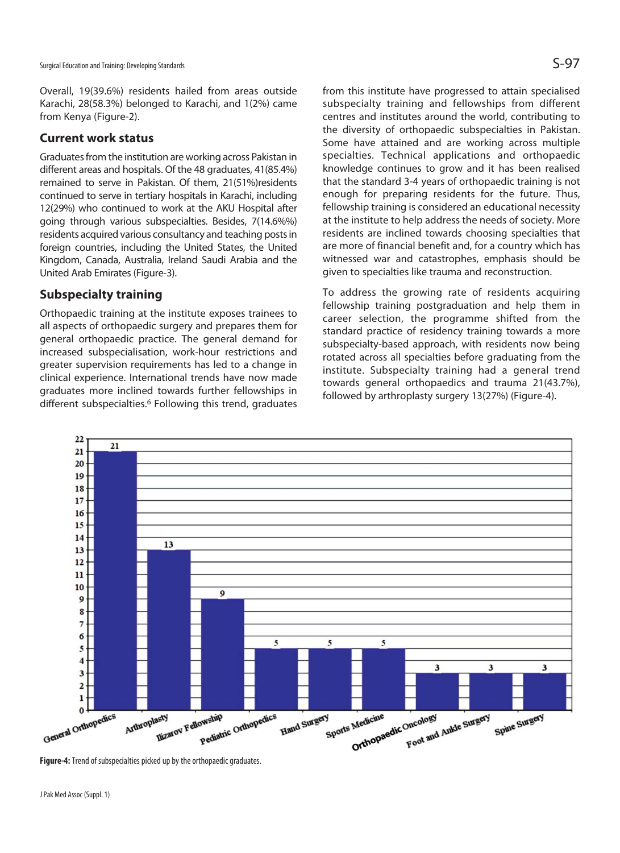Overall, 19(39.6%) residents hailed from areas outside Karachi, 28(58.3%) belonged to Karachi, and 1(2%) came from Kenya (Figure-2).

#### **Current work status**

Graduates from the institution are working across Pakistan in different areas and hospitals. Of the 48 graduates, 41(85.4%) remained to serve in Pakistan. Of them, 21(51%)residents continued to serve in tertiary hospitals in Karachi, including 12(29%) who continued to work at the AKU Hospital after going through various subspecialties. Besides, 7(14.6%%) residents acquired various consultancy and teaching posts in foreign countries, including the United States, the United Kingdom, Canada, Australia, Ireland Saudi Arabia and the United Arab Emirates (Figure-3).

#### **Subspecialty training**

Orthopaedic training at the institute exposes trainees to all aspects of orthopaedic surgery and prepares them for general orthopaedic practice. The general demand for increased subspecialisation, work-hour restrictions and greater supervision requirements has led to a change in clinical experience. International trends have now made graduates more inclined towards further fellowships in different subspecialties.6 Following this trend, graduates

from this institute have progressed to attain specialised subspecialty training and fellowships from different centres and institutes around the world, contributing to the diversity of orthopaedic subspecialties in Pakistan. Some have attained and are working across multiple specialties. Technical applications and orthopaedic knowledge continues to grow and it has been realised that the standard 3-4 years of orthopaedic training is not enough for preparing residents for the future. Thus, fellowship training is considered an educational necessity at the institute to help address the needs of society. More residents are inclined towards choosing specialties that are more of financial benefit and, for a country which has witnessed war and catastrophes, emphasis should be given to specialties like trauma and reconstruction.

To address the growing rate of residents acquiring fellowship training postgraduation and help them in career selection, the programme shifted from the standard practice of residency training towards a more subspecialty-based approach, with residents now being rotated across all specialties before graduating from the institute. Subspecialty training had a general trend towards general orthopaedics and trauma 21(43.7%), followed by arthroplasty surgery 13(27%) (Figure-4).



**Figure-4:** Trend of subspecialties picked up by the orthopaedic graduates.